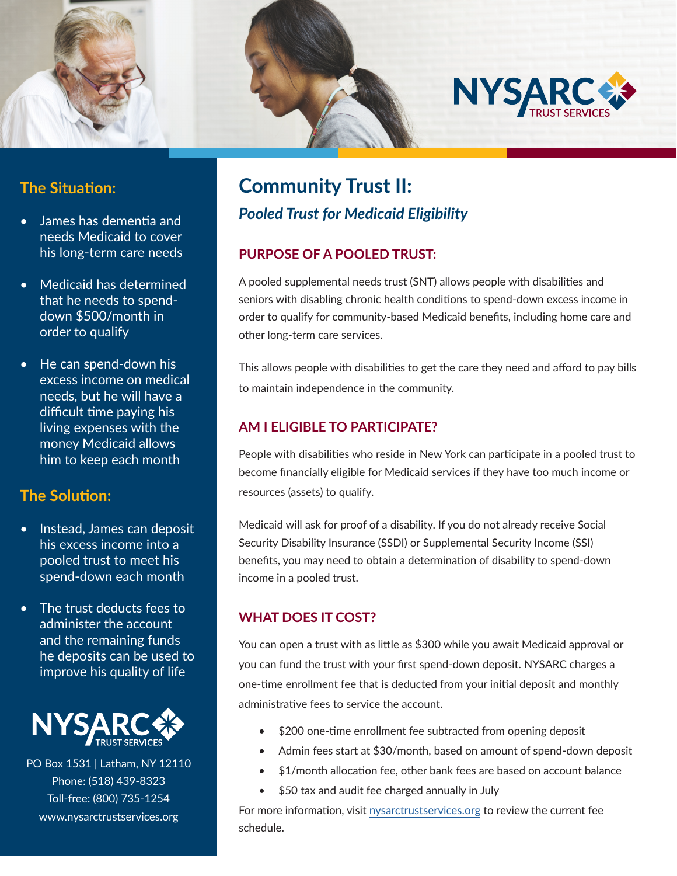

## **The Situation:**

- James has dementia and needs Medicaid to cover his long-term care needs
- Medicaid has determined that he needs to spenddown \$500/month in order to qualify
- He can spend-down his excess income on medical needs, but he will have a difficult time paying his living expenses with the money Medicaid allows him to keep each month

#### **The Solution:**

- Instead, James can deposit his excess income into a pooled trust to meet his spend-down each month
- The trust deducts fees to administer the account and the remaining funds he deposits can be used to improve his quality of life



PO Box 1531 | Latham, NY 12110 Phone: (518) 439-8323 Toll-free: (800) 735-1254 www.nysarctrustservices.org

## **Community Trust II:**  *Pooled Trust for Medicaid Eligibility*

#### **PURPOSE OF A POOLED TRUST:**

A pooled supplemental needs trust (SNT) allows people with disabilities and seniors with disabling chronic health conditions to spend-down excess income in order to qualify for community-based Medicaid benefits, including home care and other long-term care services.

This allows people with disabilities to get the care they need and afford to pay bills to maintain independence in the community.

#### **AM I ELIGIBLE TO PARTICIPATE?**

People with disabilities who reside in New York can participate in a pooled trust to become financially eligible for Medicaid services if they have too much income or resources (assets) to qualify.

Medicaid will ask for proof of a disability. If you do not already receive Social Security Disability Insurance (SSDI) or Supplemental Security Income (SSI) benefits, you may need to obtain a determination of disability to spend-down income in a pooled trust.

#### **WHAT DOES IT COST?**

You can open a trust with as little as \$300 while you await Medicaid approval or you can fund the trust with your first spend-down deposit. NYSARC charges a one-time enrollment fee that is deducted from your initial deposit and monthly administrative fees to service the account.

- \$200 one-time enrollment fee subtracted from opening deposit
- Admin fees start at \$30/month, based on amount of spend-down deposit
- \$1/month allocation fee, other bank fees are based on account balance
- \$50 tax and audit fee charged annually in July

For more information, visit nysarctrustservices.org to review the current fee schedule.